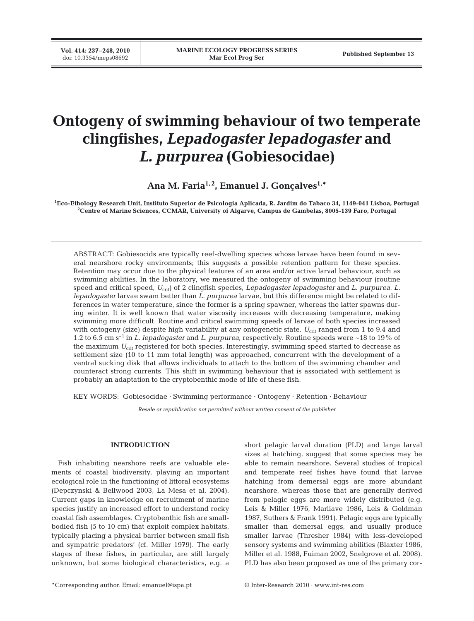# **Ontogeny of swimming behaviour of two temperate clingfishes,** *Lepadogaster lepadogaster* **and** *L. purpurea* **(Gobiesocidae)**

Ana M. Faria<sup>1,2</sup>, Emanuel J. Goncalves<sup>1,\*</sup>

**1 Eco-Ethology Research Unit, Instituto Superior de Psicologia Aplicada, R. Jardim do Tabaco 34, 1149-041 Lisboa, Portugal 2 Centre of Marine Sciences, CCMAR, University of Algarve, Campus de Gambelas, 8005-139 Faro, Portugal**

ABSTRACT: Gobiesocids are typically reef-dwelling species whose larvae have been found in several nearshore rocky environments; this suggests a possible retention pattern for these species. Retention may occur due to the physical features of an area and/or active larval behaviour, such as swimming abilities. In the laboratory, we measured the ontogeny of swimming behaviour (routine speed and critical speed, *U*crit) of 2 clingfish species, *Lepadogaster lepadogaster* and *L*. *purpurea*. *L. lepadogaster* larvae swam better than *L. purpurea* larvae, but this difference might be related to differences in water temperature, since the former is a spring spawner, whereas the latter spawns during winter. It is well known that water viscosity increases with decreasing temperature, making swimming more difficult. Routine and critical swimming speeds of larvae of both species increased with ontogeny (size) despite high variability at any ontogenetic state.  $U_{\text{crit}}$  ranged from 1 to 9.4 and 1.2 to 6.5 cm s–1 in *L. lepadogaster* and *L. purpurea*, respectively. Routine speeds were ~18 to 19% of the maximum *U<sub>crit</sub>* registered for both species. Interestingly, swimming speed started to decrease as settlement size (10 to 11 mm total length) was approached, concurrent with the development of a ventral sucking disk that allows individuals to attach to the bottom of the swimming chamber and counteract strong currents. This shift in swimming behaviour that is associated with settlement is probably an adaptation to the cryptobenthic mode of life of these fish.

KEY WORDS: Gobiesocidae · Swimming performance · Ontogeny · Retention · Behaviour

*Resale or republication not permitted without written consent of the publisher*

## **INTRODUCTION**

Fish inhabiting nearshore reefs are valuable elements of coastal biodiversity, playing an important ecological role in the functioning of littoral ecosystems (Depczynski & Bellwood 2003, La Mesa et al. 2004). Current gaps in knowledge on recruitment of marine species justify an increased effort to understand rocky coastal fish assemblages. Cryptobenthic fish are smallbodied fish (5 to 10 cm) that exploit complex habitats, typically placing a physical barrier between small fish and sympatric predators' (cf. Miller 1979). The early stages of these fishes, in particular, are still largely unknown, but some biological characteristics, e.g. a

short pelagic larval duration (PLD) and large larval sizes at hatching, suggest that some species may be able to remain nearshore. Several studies of tropical and temperate reef fishes have found that larvae hatching from demersal eggs are more abundant nearshore, whereas those that are generally derived from pelagic eggs are more widely distributed (e.g. Leis & Miller 1976, Marliave 1986, Leis & Goldman 1987, Suthers & Frank 1991). Pelagic eggs are typically smaller than demersal eggs, and usually produce smaller larvae (Thresher 1984) with less-developed sensory systems and swimming abilities (Blaxter 1986, Miller et al. 1988, Fuiman 2002, Snelgrove et al. 2008). PLD has also been proposed as one of the primary cor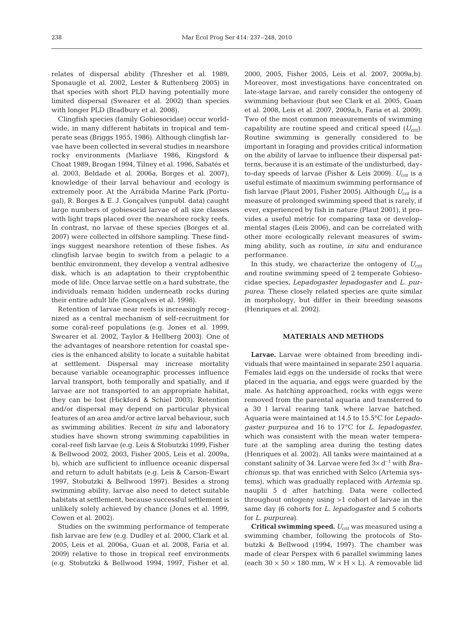relates of dispersal ability (Thresher et al. 1989, Sponaugle et al. 2002, Lester & Ruttenberg 2005) in that species with short PLD having potentially more limited dispersal (Swearer et al. 2002) than species with longer PLD (Bradbury et al. 2008).

Clingfish species (family Gobiesocidae) occur worldwide, in many different habitats in tropical and temperate seas (Briggs 1955, 1986). Although clingfish larvae have been collected in several studies in nearshore rocky environments (Marliave 1986, Kingsford & Choat 1989, Brogan 1994, Tilney et al. 1996, Sabatés et al. 2003, Beldade et al. 2006a, Borges et al. 2007), knowledge of their larval behaviour and ecology is extremely poor. At the Arrábida Marine Park (Portugal), R. Borges & E. J. Gonçalves (unpubl. data) caught large numbers of gobiesocid larvae of all size classes with light traps placed over the nearshore rocky reefs. In contrast, no larvae of these species (Borges et al. 2007) were collected in offshore sampling. These findings suggest nearshore retention of these fishes. As clingfish larvae begin to switch from a pelagic to a benthic environment, they develop a ventral adhesive disk, which is an adaptation to their cryptobenthic mode of life. Once larvae settle on a hard substrate, the individuals remain hidden underneath rocks during their entire adult life (Gonçalves et al. 1998).

Retention of larvae near reefs is increasingly recognized as a central mechanism of self-recruitment for some coral-reef populations (e.g. Jones et al. 1999, Swearer et al. 2002, Taylor & Hellberg 2003). One of the advantages of nearshore retention for coastal species is the enhanced ability to locate a suitable habitat at settlement. Dispersal may increase mortality because variable oceanographic processes influence larval transport, both temporally and spatially, and if larvae are not transported to an appropriate habitat, they can be lost (Hickford & Schiel 2003). Retention and/or dispersal may depend on particular physical features of an area and/or active larval behaviour, such as swimming abilities. Recent *in situ* and laboratory studies have shown strong swimming capabilities in coral-reef fish larvae (e.g. Leis & Stobutzki 1999, Fisher & Bellwood 2002, 2003, Fisher 2005, Leis et al. 2009a, b), which are sufficient to influence oceanic dispersal and return to adult habitats (e.g. Leis & Carson-Ewart 1997, Stobutzki & Bellwood 1997). Besides a strong swimming ability, larvae also need to detect suitable habitats at settlement, because successful settlement is unlikely solely achieved by chance (Jones et al. 1999, Cowen et al. 2002).

Studies on the swimming performance of temperate fish larvae are few (e.g. Dudley et al. 2000, Clark et al. 2005, Leis et al. 2006a, Guan et al. 2008, Faria et al. 2009) relative to those in tropical reef environments (e.g. Stobutzki & Bellwood 1994, 1997, Fisher et al.

2000, 2005, Fisher 2005, Leis et al. 2007, 2009a,b). Moreover, most investigations have concentrated on late-stage larvae, and rarely consider the ontogeny of swimming behaviour (but see Clark et al. 2005, Guan et al. 2008, Leis et al. 2007, 2009a,b, Faria et al. 2009). Two of the most common measurements of swimming capability are routine speed and critical speed  $(U_{\text{crit}})$ . Routine swimming is generally considered to be important in foraging and provides critical information on the ability of larvae to influence their dispersal patterns, because it is an estimate of the undisturbed, dayto-day speeds of larvae (Fisher & Leis 2009).  $U_{\text{crit}}$  is a useful estimate of maximum swimming performance of fish larvae (Plaut 2001, Fisher 2005). Although  $U_{\text{crit}}$  is a measure of prolonged swimming speed that is rarely, if ever, experienced by fish in nature (Plaut 2001), it provides a useful metric for comparing taxa or developmental stages (Leis 2006), and can be correlated with other more ecologically relevant measures of swimming ability, such as routine, *in situ* and endurance performance.

In this study, we characterize the ontogeny of  $U_{\text{crit}}$ and routine swimming speed of 2 temperate Gobiesocidae species, *Lepadogaster lepadogaster* and *L*. *purpurea*. These closely related species are quite similar in morphology, but differ in their breeding seasons (Henriques et al. 2002).

## **MATERIALS AND METHODS**

**Larvae.** Larvae were obtained from breeding individuals that were maintained in separate 250 l aquaria. Females laid eggs on the underside of rocks that were placed in the aquaria, and eggs were guarded by the male. As hatching approached, rocks with eggs were removed from the parental aquaria and transferred to a 30 l larval rearing tank where larvae hatched. Aquaria were maintained at 14.5 to 15.5°C for *Lepadogaster purpurea* and 16 to 17°C for *L*. *lepadogaster*, which was consistent with the mean water temperature at the sampling area during the testing dates (Henriques et al. 2002). All tanks were maintained at a constant salinity of 34. Larvae were fed 3× d–1 with *Brachionus* sp. that was enriched with Selco (Artemia systems), which was gradually replaced with *Artemia* sp. nauplii 5 d after hatching. Data were collected throughout ontogeny using >1 cohort of larvae in the same day (6 cohorts for *L*. *lepadogaster* and 5 cohorts for *L*. *purpurea*).

**Critical swimming speed.**  $U_{\text{crit}}$  was measured using a swimming chamber, following the protocols of Stobutzki & Bellwood (1994, 1997). The chamber was made of clear Perspex with 6 parallel swimming lanes (each  $30 \times 50 \times 180$  mm,  $W \times H \times L$ ). A removable lid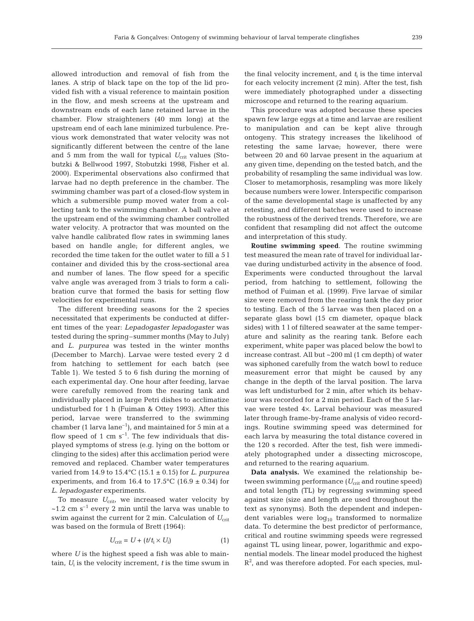allowed introduction and removal of fish from the lanes. A strip of black tape on the top of the lid provided fish with a visual reference to maintain position in the flow, and mesh screens at the upstream and downstream ends of each lane retained larvae in the chamber. Flow straighteners (40 mm long) at the upstream end of each lane minimized turbulence. Previous work demonstrated that water velocity was not significantly different between the centre of the lane and 5 mm from the wall for typical  $U_{\text{crit}}$  values (Stobutzki & Bellwood 1997, Stobutzki 1998, Fisher et al. 2000). Experimental observations also confirmed that larvae had no depth preference in the chamber. The swimming chamber was part of a closed-flow system in which a submersible pump moved water from a collecting tank to the swimming chamber. A ball valve at the upstream end of the swimming chamber controlled water velocity. A protractor that was mounted on the valve handle calibrated flow rates in swimming lanes based on handle angle; for different angles, we recorded the time taken for the outlet water to fill a 5 l container and divided this by the cross-sectional area and number of lanes. The flow speed for a specific valve angle was averaged from 3 trials to form a calibration curve that formed the basis for setting flow velocities for experimental runs.

The different breeding seasons for the 2 species necessitated that experiments be conducted at different times of the year: *Lepadogaster lepadogaster* was tested during the spring–summer months (May to July) and *L. purpurea* was tested in the winter months (December to March). Larvae were tested every 2 d from hatching to settlement for each batch (see Table 1). We tested 5 to 6 fish during the morning of each experimental day. One hour after feeding, larvae were carefully removed from the rearing tank and individually placed in large Petri dishes to acclimatize undisturbed for 1 h (Fuiman & Ottey 1993). After this period, larvae were transferred to the swimming chamber (1 larva lane<sup>-1</sup>), and maintained for 5 min at a flow speed of 1 cm  $s^{-1}$ . The few individuals that displayed symptoms of stress (e.g. lying on the bottom or clinging to the sides) after this acclimation period were removed and replaced. Chamber water temperatures varied from 14.9 to 15.4°C (15.1 ± 0.15) for *L*. *purpurea* experiments, and from 16.4 to 17.5°C (16.9  $\pm$  0.34) for *L*. *lepadogaster* experiments.

To measure  $U_{\text{crit}}$ , we increased water velocity by  $\sim$ 1.2 cm s<sup>-1</sup> every 2 min until the larva was unable to swim against the current for 2 min. Calculation of  $U_{\text{crit}}$ was based on the formula of Brett (1964):

$$
U_{\rm crit} = U + (t/t_{\rm i} \times U_{\rm i}) \tag{1}
$$

where *U* is the highest speed a fish was able to maintain,  $U_i$  is the velocity increment,  $t$  is the time swum in the final velocity increment, and  $t_i$  is the time interval for each velocity increment (2 min). After the test, fish were immediately photographed under a dissecting microscope and returned to the rearing aquarium.

This procedure was adopted because these species spawn few large eggs at a time and larvae are resilient to manipulation and can be kept alive through ontogeny. This strategy increases the likelihood of retesting the same larvae; however, there were between 20 and 60 larvae present in the aquarium at any given time, depending on the tested batch, and the probability of resampling the same individual was low. Closer to metamorphosis, resampling was more likely because numbers were lower. Interspecific comparison of the same developmental stage is unaffected by any retesting, and different batches were used to increase the robustness of the derived trends. Therefore, we are confident that resampling did not affect the outcome and interpretation of this study.

**Routine swimming speed**. The routine swimming test measured the mean rate of travel for individual larvae during undisturbed activity in the absence of food. Experiments were conducted throughout the larval period, from hatching to settlement, following the method of Fuiman et al. (1999). Five larvae of similar size were removed from the rearing tank the day prior to testing. Each of the 5 larvae was then placed on a separate glass bowl (15 cm diameter, opaque black sides) with 1 l of filtered seawater at the same temperature and salinity as the rearing tank. Before each experiment, white paper was placed below the bowl to increase contrast. All but ~200 ml (1 cm depth) of water was siphoned carefully from the watch bowl to reduce measurement error that might be caused by any change in the depth of the larval position. The larva was left undisturbed for 2 min, after which its behaviour was recorded for a 2 min period. Each of the 5 larvae were tested 4×. Larval behaviour was measured later through frame-by-frame analysis of video recordings. Routine swimming speed was determined for each larva by measuring the total distance covered in the 120 s recorded. After the test, fish were immediately photographed under a dissecting microscope, and returned to the rearing aquarium.

**Data analysis.** We examined the relationship between swimming performance (U<sub>crit</sub> and routine speed) and total length (TL) by regressing swimming speed against size (size and length are used throughout the text as synonyms). Both the dependent and independent variables were  $log_{10}$  transformed to normalize data. To determine the best predictor of performance, critical and routine swimming speeds were regressed against TL using linear, power, logarithmic and exponential models. The linear model produced the highest  $R<sup>2</sup>$ , and was therefore adopted. For each species, mul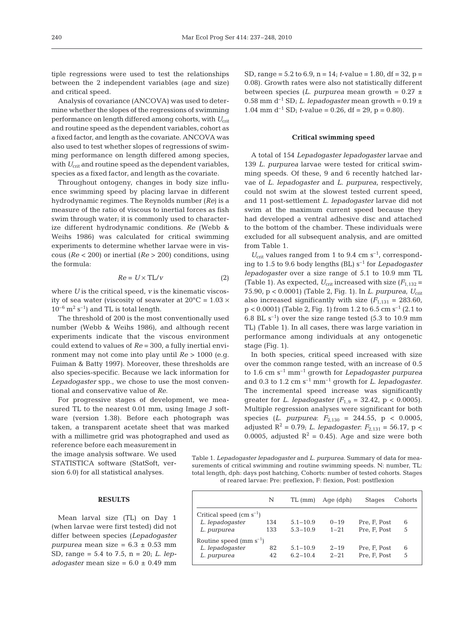tiple regressions were used to test the relationships between the 2 independent variables (age and size) and critical speed.

Analysis of covariance (ANCOVA) was used to determine whether the slopes of the regressions of swimming performance on length differed among cohorts, with  $U_{\text{crit}}$ and routine speed as the dependent variables, cohort as a fixed factor, and length as the covariate. ANCOVA was also used to test whether slopes of regressions of swimming performance on length differed among species, with  $U_{\text{crit}}$  and routine speed as the dependent variables, species as a fixed factor, and length as the covariate.

Throughout ontogeny, changes in body size influence swimming speed by placing larvae in different hydrodynamic regimes. The Reynolds number (*Re*) is a measure of the ratio of viscous to inertial forces as fish swim through water; it is commonly used to characterize different hydrodynamic conditions. *Re* (Webb & Weihs 1986) was calculated for critical swimming experiments to determine whether larvae were in viscous (*Re* < 200) or inertial (*Re* > 200) conditions, using the formula:

$$
Re = U \times TL/v
$$
 (2)

where *U* is the critical speed, *v* is the kinematic viscosity of sea water (viscosity of seawater at  $20^{\circ}$ C = 1.03  $\times$  $10^{-6}$  m<sup>2</sup> s<sup>-1</sup>) and TL is total length.

The threshold of 200 is the most conventionally used number (Webb & Weihs 1986), and although recent experiments indicate that the viscous environment could extend to values of *Re* = 300, a fully inertial environment may not come into play until *Re* > 1000 (e.g. Fuiman & Batty 1997). Moreover, these thresholds are also species-specific. Because we lack information for *Lepadogaster* spp., we chose to use the most conventional and conservative value of *Re*.

For progressive stages of development, we measured TL to the nearest 0.01 mm, using Image J software (version 1.38). Before each photograph was taken, a transparent acetate sheet that was marked with a millimetre grid was photographed and used as

reference before each measurement in the image analysis software. We used STATISTICA software (StatSoft, version 6.0) for all statistical analyses.

## **RESULTS**

Mean larval size (TL) on Day 1 (when larvae were first tested) did not differ between species (*Lepadogaster purpurea* mean size = 6.3 ± 0.53 mm SD, range = 5.4 to 7.5, n = 20; *L*. *lepadogaster* mean size =  $6.0 \pm 0.49$  mm

SD, range = 5.2 to 6.9, n = 14; *t*-value = 1.80, df = 32, p = 0.08). Growth rates were also not statistically different between species (*L. purpurea* mean growth =  $0.27 \pm 1$ 0.58 mm d<sup>-1</sup> SD; *L. lepadogaster* mean growth =  $0.19 \pm 1$ 1.04 mm  $d^{-1}$  SD; *t*-value = 0.26,  $df = 29$ ,  $p = 0.80$ ).

## **Critical swimming speed**

A total of 154 *Lepadogaster lepadogaster* larvae and 139 *L. purpurea* larvae were tested for critical swimming speeds. Of these, 9 and 6 recently hatched larvae of *L. lepadogaster* and *L. purpurea*, respectively, could not swim at the slowest tested current speed, and 11 post-settlement *L. lepadogaster* larvae did not swim at the maximum current speed because they had developed a ventral adhesive disc and attached to the bottom of the chamber. These individuals were excluded for all subsequent analysis, and are omitted from Table 1.

 $U_{\text{crit}}$  values ranged from 1 to 9.4 cm s<sup>-1</sup>, corresponding to 1.5 to 9.6 body lengths (BL) s–1 for *Lepadogaster lepadogaster* over a size range of 5.1 to 10.9 mm TL (Table 1). As expected,  $U_{\text{crit}}$  increased with size  $(F_{1,132} =$ 75.90, p < 0.0001) (Table 2, Fig. 1). In *L. purpurea*, *U*crit also increased significantly with size  $(F_{1,131} = 283.60)$ ,  $p < 0.0001$ ) (Table 2, Fig. 1) from 1.2 to 6.5 cm s<sup>-1</sup> (2.1 to 6.8 BL  $s^{-1}$ ) over the size range tested (5.3 to 10.9 mm TL) (Table 1). In all cases, there was large variation in performance among individuals at any ontogenetic stage (Fig. 1).

In both species, critical speed increased with size over the common range tested, with an increase of 0.5 to 1.6 cm s–1 mm–1 growth for *Lepadogaster purpurea* and 0.3 to 1.2 cm s–1 mm–1 growth for *L*. *lepadogaster*. The incremental speed increase was significantly greater for *L. lepadogaster* ( $F_{1,9} = 32.42$ ,  $p < 0.0005$ ). Multiple regression analyses were significant for both species (*L*. *purpurea*: *F*2,130 = 244.55, p < 0.0005, adjusted  $R^2 = 0.79$ ; *L. lepadogaster*:  $F_{2,131} = 56.17$ , p < 0.0005, adjusted  $R^2 = 0.45$ ). Age and size were both

Table 1. *Lepadogaster lepadogaster* and *L. purpurea*. Summary of data for measurements of critical swimming and routine swimming speeds. N: number, TL: total length, dph: days post hatching, Cohorts: number of tested cohorts. Stages of reared larvae: Pre: preflexion, F: flexion, Post: postflexion

|                                  | N   | TL (mm)      | Age (dph) | <b>Stages</b> | Cohorts |  |  |  |
|----------------------------------|-----|--------------|-----------|---------------|---------|--|--|--|
| Critical speed $\rm (cm~s^{-1})$ |     |              |           |               |         |  |  |  |
| L. lepadogaster                  | 134 | $5.1 - 10.9$ | $0 - 19$  | Pre, F, Post  | 6       |  |  |  |
| L. purpurea                      | 133 | $5.3 - 10.9$ | $1 - 21$  | Pre. F. Post  | 5       |  |  |  |
| Routine speed (mm $s^{-1}$ )     |     |              |           |               |         |  |  |  |
| L. lepadogaster                  | 82  | $5.1 - 10.9$ | $2 - 19$  | Pre, F, Post  | 6       |  |  |  |
| L. purpurea                      | 42  | $6.2 - 10.4$ | $2 - 21$  | Pre, F, Post  | 5       |  |  |  |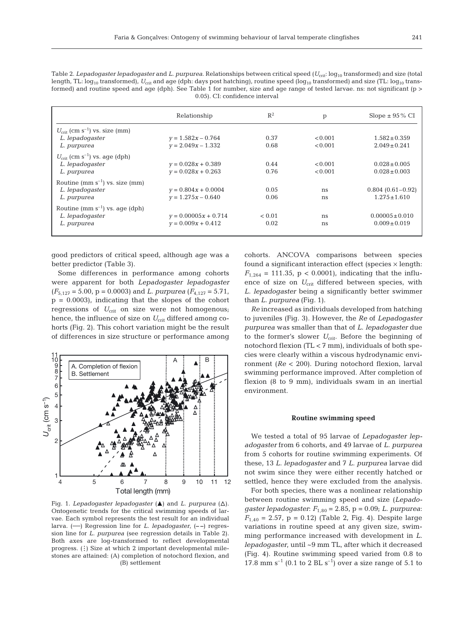Table 2. *Lepadogaster lepadogaster* and *L. purpurea*. Relationships between critical speed ( $U_{\text{crit}}$ : log<sub>10</sub> transformed) and size (total length, TL:  $\log_{10}$  transformed),  $U_{\text{crit}}$  and age (dph: days post hatching), routine speed ( $\log_{10}$  transformed) and size (TL:  $\log_{10}$  transformed) and routine speed and age (dph). See Table 1 for number, size and age range of tested larvae. ns: not significant (p > 0.05). CI: confidence interval

|                                                       | Relationship           | $R^2$  | p       | Slope $\pm$ 95% CI  |
|-------------------------------------------------------|------------------------|--------|---------|---------------------|
| $U_{\text{crit}}$ (cm s <sup>-1</sup> ) vs. size (mm) |                        |        |         |                     |
| L. lepadogaster                                       | $v = 1.582x - 0.764$   | 0.37   | < 0.001 | $1.582 \pm 0.359$   |
| L. purpurea                                           | $y = 2.049x - 1.332$   | 0.68   | < 0.001 | $2.049 \pm 0.241$   |
| $U_{\text{crit}}$ (cm s <sup>-1</sup> ) vs. age (dph) |                        |        |         |                     |
| L. lepadogaster                                       | $y = 0.028x + 0.389$   | 0.44   | < 0.001 | $0.028 \pm 0.005$   |
| L. purpurea                                           | $v = 0.028x + 0.263$   | 0.76   | < 0.001 | $0.028 \pm 0.003$   |
| Routine $(mm s^{-1})$ vs. size $(mm)$                 |                        |        |         |                     |
| L. lepadogaster                                       | $v = 0.804x + 0.0004$  | 0.05   | ns      | $0.804(0.61-0.92)$  |
| L. purpurea                                           | $v = 1.275x - 0.640$   | 0.06   | ns      | $1.275 \pm 1.610$   |
| Routine (mm $s^{-1}$ ) vs. age (dph)                  |                        |        |         |                     |
| L. lepadogaster                                       | $v = 0.00005x + 0.714$ | < 0.01 | ns      | $0.00005 \pm 0.010$ |
| L. purpurea                                           | $v = 0.009x + 0.412$   | 0.02   | ns      | $0.009 \pm 0.019$   |
|                                                       |                        |        |         |                     |

good predictors of critical speed, although age was a better predictor (Table 3).

Some differences in performance among cohorts were apparent for both *Lepadogaster lepadogaster*  $(F_{5,127} = 5.00, p = 0.0003)$  and *L. purpurea*  $(F_{4,127} = 5.71, p = 0.0003)$  $p = 0.0003$ , indicating that the slopes of the cohort regressions of  $U_{\text{crit}}$  on size were not homogenous; hence, the influence of size on  $U_{\text{crit}}$  differed among cohorts (Fig. 2). This cohort variation might be the result of differences in size structure or performance among



Fig. 1. *Lepadogaster lepadogaster* ( $\triangle$ ) and *L. purpurea* ( $\triangle$ ). Ontogenetic trends for the critical swimming speeds of larvae. Each symbol represents the test result for an individual larva. (—) Regression line for *L. lepadogaster*, (**– –**) regression line for *L. purpurea* (see regression details in Table 2). Both axes are log-transformed to reflect developmental progress. (:) Size at which 2 important developmental milestones are attained: (A) completion of notochord flexion, and (B) settlement ...

cohorts. ANCOVA comparisons between species found a significant interaction effect (species  $\times$  length:  $F_{1,264} = 111.35$ , p < 0.0001), indicating that the influence of size on  $U_{\text{crit}}$  differed between species, with *L. lepadogaster* being a significantly better swimmer than *L. purpurea* (Fig. 1).

*Re* increased as individuals developed from hatching to juveniles (Fig. 3). However, the *Re* of *Lepadogaster purpurea* was smaller than that of *L. lepadogaster* due to the former's slower  $U_{\text{crit}}$ . Before the beginning of notochord flexion (TL < 7 mm), individuals of both species were clearly within a viscous hydrodynamic environment (*Re* < 200). During notochord flexion, larval swimming performance improved. After completion of flexion (8 to 9 mm), individuals swam in an inertial environment.

### **Routine swimming speed**

We tested a total of 95 larvae of *Lepadogaster lepadogaster* from 6 cohorts, and 49 larvae of *L. purpurea* from 5 cohorts for routine swimming experiments. Of these, 13 *L. lepadogaster* and 7 *L. purpurea* larvae did not swim since they were either recently hatched or settled, hence they were excluded from the analysis.

For both species, there was a nonlinear relationship between routine swimming speed and size (*Lepadogaster lepadogaster*: *F*1,80 = 2.85, p = 0.09; *L. purpurea*:  $F_{1,40} = 2.57$ ,  $p = 0.12$ ) (Table 2, Fig. 4). Despite large variations in routine speed at any given size, swimming performance increased with development in *L. lepadogaster*, until ~9 mm TL, after which it decreased (Fig. 4). Routine swimming speed varied from 0.8 to 17.8 mm  $s^{-1}$  (0.1 to 2 BL  $s^{-1}$ ) over a size range of 5.1 to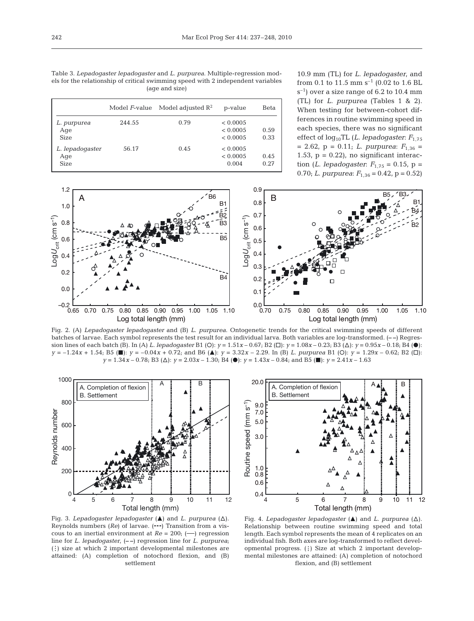Table 3. *Lepadogaster lepadogaster* and *L. purpurea*. Multiple-regression models for the relationship of critical swimming speed with 2 independent variables (age and size)

|                                       | Model F-value | Model adjusted $\mathbb{R}^2$ | p-value                          | Beta         |
|---------------------------------------|---------------|-------------------------------|----------------------------------|--------------|
| L. purpurea<br>Age<br><b>Size</b>     | 244.55        | 0.79                          | < 0.0005<br>< 0.0005<br>< 0.0005 | 0.59<br>0.33 |
| L. lepadogaster<br>Age<br><b>Size</b> | 56.17         | 0.45                          | < 0.0005<br>< 0.0005<br>0.004    | 0.45<br>0.27 |

10.9 mm (TL) for *L. lepadogaster*, and from 0.1 to 11.5 mm  $s^{-1}$  (0.02 to 1.6 BL  $s^{-1}$ ) over a size range of 6.2 to 10.4 mm (TL) for *L. purpurea* (Tables 1 & 2). When testing for between-cohort differences in routine swimming speed in each species, there was no significant effect of log<sub>10</sub>TL (*L. lepadogaster: F*<sub>1,75</sub>  $= 2.62$ ,  $p = 0.11$ ; *L. purpurea*:  $F_{1,36} =$ 1.53,  $p = 0.22$ , no significant interaction (*L. lepadogaster*: *F*1,75 = 0.15, p = 0.70; *L*. *purpurea*: *F*1,36 = 0.42, p = 0.52)



Fig. 2. (A) *Lepadogaster lepadogaster* and (B) *L. purpurea*. Ontogenetic trends for the critical swimming speeds of different batches of larvae. Each symbol represents the test result for an individual larva. Both variables are log-transformed. (**– –**) Regression lines of each batch (B). In (A) *L. lepadogaster* B1 (O):  $y = 1.51x - 0.67$ ; B2 ( $\square$ ):  $y = 1.08x - 0.23$ ; B3 ( $\triangle$ ):  $y = 0.95x - 0.18$ ; B4 ( $\bullet$ ):  $y = -1.24x + 1.54$ ; B5 (.):  $y = -0.04x + 0.72$ ; and B6 (.):  $y = 3.32x - 2.29$ . In (B) *L. purpurea* B1 (O):  $y = 1.29x - 0.62$ ; B2 ( $\square$ ): *y* = 1.34*x* – 0.78; B3 (∆): *y* = 2.03*x* – 1.30; B4 (●): *y* = 1.43*x* – 0.84; and B5 (■): *y* = 2.41*x* – 1.63



20.0 A. Completion of flexior B. Settlement Routine speed (mm s<sup>-1</sup>) Routine speed (mm s–1) 9.0 7.0 5.0 3.0 1.0 0.8 0.6 0.4 4 5 6 7 8 9 10 11 12 Total length (mm)

Fig. 3. *Lepadogaster lepadogaster* ( $\triangle$ ) and *L. purpurea* ( $\triangle$ ). Reynolds numbers (*Re*) of larvae. (**---**) Transition from a viscous to an inertial environment at *Re* = 200; (—) regression line for *L. lepadogaster*, (**– –**) regression line for *L. purpurea*; (:) size at which 2 important developmental milestones are attained: (A) completion of notochord flexion, and (B) settlement

Fig. 4. *Lepadogaster lepadogaster* ( $\triangle$ ) and *L. purpurea* ( $\triangle$ ). Relationship between routine swimming speed and total length. Each symbol represents the mean of 4 replicates on an individual fish. Both axes are log-transformed to reflect developmental progress. (:) Size at which 2 important developmental milestones are attained: (A) completion of notochord ss. (:) Size at which 2 im<br>s are attained: (A) comple<br>flexion, and (B) settlement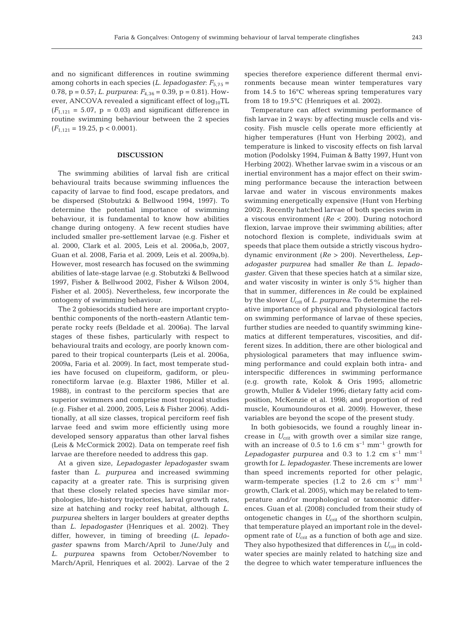and no significant differences in routine swimming among cohorts in each species  $(L.$  *lepadogaster*:  $F_{5,75}$  = 0.78, p = 0.57; *L. purpurea*: *F*4,36 = 0.39, p = 0.81). However, ANCOVA revealed a significant effect of  $log_{10}TL$  $(F_{1,121} = 5.07, p = 0.03)$  and significant difference in routine swimming behaviour between the 2 species  $(F_{1,121} = 19.25, p < 0.0001).$ 

# **DISCUSSION**

The swimming abilities of larval fish are critical behavioural traits because swimming influences the capacity of larvae to find food, escape predators, and be dispersed (Stobutzki & Bellwood 1994, 1997). To determine the potential importance of swimming behaviour, it is fundamental to know how abilities change during ontogeny. A few recent studies have included smaller pre-settlement larvae (e.g. Fisher et al. 2000, Clark et al. 2005, Leis et al. 2006a,b, 2007, Guan et al. 2008, Faria et al. 2009, Leis et al. 2009a,b). However, most research has focused on the swimming abilities of late-stage larvae (e.g. Stobutzki & Bellwood 1997, Fisher & Bellwood 2002, Fisher & Wilson 2004, Fisher et al. 2005). Nevertheless, few incorporate the ontogeny of swimming behaviour.

The 2 gobiesocids studied here are important cryptobenthic components of the north-eastern Atlantic temperate rocky reefs (Beldade et al. 2006a). The larval stages of these fishes, particularly with respect to behavioural traits and ecology, are poorly known compared to their tropical counterparts (Leis et al. 2006a, 2009a, Faria et al. 2009). In fact, most temperate studies have focused on clupeiform, gadiform, or pleuronectiform larvae (e.g. Blaxter 1986, Miller et al. 1988), in contrast to the perciform species that are superior swimmers and comprise most tropical studies (e.g. Fisher et al. 2000, 2005, Leis & Fisher 2006). Additionally, at all size classes, tropical perciform reef fish larvae feed and swim more efficiently using more developed sensory apparatus than other larval fishes (Leis & McCormick 2002). Data on temperate reef fish larvae are therefore needed to address this gap.

At a given size, *Lepadogaster lepadogaster* swam faster than *L. purpurea* and increased swimming capacity at a greater rate. This is surprising given that these closely related species have similar morphologies, life-history trajectories, larval growth rates, size at hatching and rocky reef habitat, although *L. purpurea* shelters in larger boulders at greater depths than *L. lepadogaster* (Henriques et al. 2002). They differ, however, in timing of breeding (*L. lepadogaster* spawns from March/April to June/July and *L. purpurea* spawns from October/November to March/April, Henriques et al. 2002). Larvae of the 2 species therefore experience different thermal environments because mean winter temperatures vary from 14.5 to 16°C whereas spring temperatures vary from 18 to 19.5°C (Henriques et al. 2002).

Temperature can affect swimming performance of fish larvae in 2 ways: by affecting muscle cells and viscosity. Fish muscle cells operate more efficiently at higher temperatures (Hunt von Herbing 2002), and temperature is linked to viscosity effects on fish larval motion (Podolsky 1994, Fuiman & Batty 1997, Hunt von Herbing 2002). Whether larvae swim in a viscous or an inertial environment has a major effect on their swimming performance because the interaction between larvae and water in viscous environments makes swimming energetically expensive (Hunt von Herbing 2002). Recently hatched larvae of both species swim in a viscous environment (*Re* < 200). During notochord flexion, larvae improve their swimming abilities; after notochord flexion is complete, individuals swim at speeds that place them outside a strictly viscous hydrodynamic environment (*Re* > 200). Nevertheless, *Lepadogaster purpurea* had smaller *Re* than *L. lepadogaster*. Given that these species hatch at a similar size, and water viscosity in winter is only 5% higher than that in summer, differences in *Re* could be explained by the slower *U*<sub>crit</sub> of *L. purpurea*. To determine the relative importance of physical and physiological factors on swimming performance of larvae of these species, further studies are needed to quantify swimming kinematics at different temperatures, viscosities, and different sizes. In addition, there are other biological and physiological parameters that may influence swimming performance and could explain both intra- and interspecific differences in swimming performance (e.g. growth rate, Kolok & Oris 1995; allometric growth, Muller & Videler 1996; dietary fatty acid composition, McKenzie et al. 1998; and proportion of red muscle, Koumoundouros et al. 2009). However, these variables are beyond the scope of the present study.

In both gobiesocids, we found a roughly linear increase in  $U_{\text{crit}}$  with growth over a similar size range, with an increase of 0.5 to 1.6 cm  $s^{-1}$  mm<sup>-1</sup> growth for *Lepadogaster purpurea* and 0.3 to 1.2 cm  $s^{-1}$  mm<sup>-1</sup> growth for *L*. *lepadogaster*. These increments are lower than speed increments reported for other pelagic, warm-temperate species (1.2 to 2.6 cm  $s^{-1}$  mm<sup>-1</sup> growth, Clark et al. 2005), which may be related to temperature and/or morphological or taxonomic differences. Guan et al. (2008) concluded from their study of ontogenetic changes in  $U_{\text{crit}}$  of the shorthorn sculpin, that temperature played an important role in the development rate of  $U_{\text{crit}}$  as a function of both age and size. They also hypothesized that differences in  $U_{\text{crit}}$  in coldwater species are mainly related to hatching size and the degree to which water temperature influences the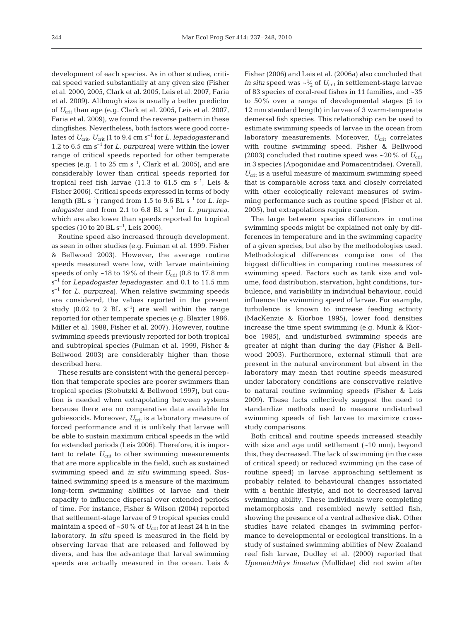development of each species. As in other studies, critical speed varied substantially at any given size (Fisher et al. 2000, 2005, Clark et al. 2005, Leis et al. 2007, Faria et al. 2009). Although size is usually a better predictor of *U*crit than age (e.g. Clark et al. 2005, Leis et al. 2007, Faria et al. 2009), we found the reverse pattern in these clingfishes. Nevertheless, both factors were good correlates of  $U_{\text{crit}}$ .  $U_{\text{crit}}$  (1 to 9.4 cm s<sup>-1</sup> for *L. lepadogaster* and 1.2 to 6.5 cm s–1 for *L. purpurea*) were within the lower range of critical speeds reported for other temperate species (e.g. 1 to 25 cm  $s^{-1}$ , Clark et al. 2005), and are considerably lower than critical speeds reported for tropical reef fish larvae (11.3 to 61.5 cm  $s^{-1}$ , Leis & Fisher 2006). Critical speeds expressed in terms of body length (BL  $s^{-1}$ ) ranged from 1.5 to 9.6 BL  $s^{-1}$  for *L. lepadogaster* and from 2.1 to 6.8 BL s–1 for *L. purpurea*, which are also lower than speeds reported for tropical species (10 to 20 BL  $s^{-1}$ , Leis 2006).

Routine speed also increased through development, as seen in other studies (e.g. Fuiman et al. 1999, Fisher & Bellwood 2003). However, the average routine speeds measured were low, with larvae maintaining speeds of only  $\sim$ 18 to 19% of their  $U_{\text{crit}}$  (0.8 to 17.8 mm s–1 for *Lepadogaster lepadogaster*, and 0.1 to 11.5 mm s–1 for *L. purpurea*). When relative swimming speeds are considered, the values reported in the present study (0.02 to 2 BL  $s^{-1}$ ) are well within the range reported for other temperate species (e.g. Blaxter 1986, Miller et al. 1988, Fisher et al. 2007). However, routine swimming speeds previously reported for both tropical and subtropical species (Fuiman et al. 1999, Fisher & Bellwood 2003) are considerably higher than those described here.

These results are consistent with the general perception that temperate species are poorer swimmers than tropical species (Stobutzki & Bellwood 1997), but caution is needed when extrapolating between systems because there are no comparative data available for gobiesocids. Moreover, U<sub>crit</sub> is a laboratory measure of forced performance and it is unlikely that larvae will be able to sustain maximum critical speeds in the wild for extended periods (Leis 2006). Therefore, it is important to relate  $U_{\text{crit}}$  to other swimming measurements that are more applicable in the field, such as sustained swimming speed and *in situ* swimming speed. Sustained swimming speed is a measure of the maximum long-term swimming abilities of larvae and their capacity to influence dispersal over extended periods of time. For instance, Fisher & Wilson (2004) reported that settlement-stage larvae of 9 tropical species could maintain a speed of  $\sim 50\%$  of  $U_{\text{crit}}$  for at least 24 h in the laboratory. *In situ* speed is measured in the field by observing larvae that are released and followed by divers, and has the advantage that larval swimming speeds are actually measured in the ocean. Leis &

Fisher (2006) and Leis et al. (2006a) also concluded that *in situ* speed was  $\sim \frac{1}{2}$  of  $U_{\text{crit}}$  in settlement-stage larvae of 83 species of coral-reef fishes in 11 families, and ~35 to 50% over a range of developmental stages (5 to 12 mm standard length) in larvae of 3 warm-temperate demersal fish species. This relationship can be used to estimate swimming speeds of larvae in the ocean from laboratory measurements. Moreover, U<sub>crit</sub> correlates with routine swimming speed. Fisher & Bellwood (2003) concluded that routine speed was  $\sim$ 20% of  $U_{\text{crit}}$ in 3 species (Apogonidae and Pomacentridae). Overall, *U*crit is a useful measure of maximum swimming speed that is comparable across taxa and closely correlated with other ecologically relevant measures of swimming performance such as routine speed (Fisher et al. 2005), but extrapolations require caution.

The large between species differences in routine swimming speeds might be explained not only by differences in temperature and in the swimming capacity of a given species, but also by the methodologies used. Methodological differences comprise one of the biggest difficulties in comparing routine measures of swimming speed. Factors such as tank size and volume, food distribution, starvation, light conditions, turbulence, and variability in individual behaviour, could influence the swimming speed of larvae. For example, turbulence is known to increase feeding activity (MacKenzie & Kiorboe 1995), lower food densities increase the time spent swimming (e.g. Munk & Kiorboe 1985), and undisturbed swimming speeds are greater at night than during the day (Fisher & Bellwood 2003). Furthermore, external stimuli that are present in the natural environment but absent in the laboratory may mean that routine speeds measured under laboratory conditions are conservative relative to natural routine swimming speeds (Fisher & Leis 2009). These facts collectively suggest the need to standardize methods used to measure undisturbed swimming speeds of fish larvae to maximize crossstudy comparisons.

Both critical and routine speeds increased steadily with size and age until settlement (*~*10 mm); beyond this, they decreased. The lack of swimming (in the case of critical speed) or reduced swimming (in the case of routine speed) in larvae approaching settlement is probably related to behavioural changes associated with a benthic lifestyle, and not to decreased larval swimming ability. These individuals were completing metamorphosis and resembled newly settled fish, showing the presence of a ventral adhesive disk. Other studies have related changes in swimming performance to developmental or ecological transitions. In a study of sustained swimming abilities of New Zealand reef fish larvae, Dudley et al. (2000) reported that *Upeneichthys lineatus* (Mullidae) did not swim after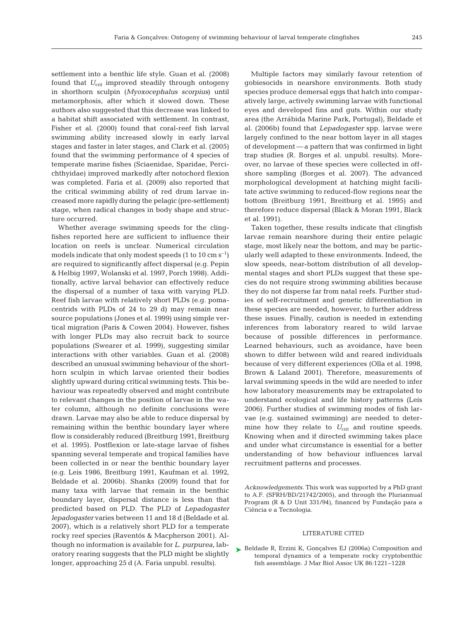settlement into a benthic life style. Guan et al. (2008) found that  $U_{\text{crit}}$  improved steadily through ontogeny in shorthorn sculpin (*Myoxocephalus scorpius*) until metamorphosis, after which it slowed down. These authors also suggested that this decrease was linked to a habitat shift associated with settlement. In contrast, Fisher et al. (2000) found that coral-reef fish larval swimming ability increased slowly in early larval stages and faster in later stages, and Clark et al. (2005) found that the swimming performance of 4 species of temperate marine fishes (Sciaenidae, Sparidae, Percichthyidae) improved markedly after notochord flexion was completed. Faria et al. (2009) also reported that the critical swimming ability of red drum larvae increased more rapidly during the pelagic (pre-settlement) stage, when radical changes in body shape and structure occurred.

Whether average swimming speeds for the clingfishes reported here are sufficient to influence their location on reefs is unclear. Numerical circulation models indicate that only modest speeds (1 to 10 cm  $s^{-1}$ ) are required to significantly affect dispersal (e.g. Pepin & Helbig 1997, Wolanski et al. 1997, Porch 1998). Additionally, active larval behavior can effectively reduce the dispersal of a number of taxa with varying PLD. Reef fish larvae with relatively short PLDs (e.g. pomacentrids with PLDs of 24 to 29 d) may remain near source populations (Jones et al. 1999) using simple vertical migration (Paris & Cowen 2004). However, fishes with longer PLDs may also recruit back to source populations (Swearer et al. 1999), suggesting similar interactions with other variables. Guan et al. (2008) described an unusual swimming behaviour of the shorthorn sculpin in which larvae oriented their bodies slightly upward during critical swimming tests. This behaviour was repeatedly observed and might contribute to relevant changes in the position of larvae in the water column, although no definite conclusions were drawn. Larvae may also be able to reduce dispersal by remaining within the benthic boundary layer where flow is considerably reduced (Breitburg 1991, Breitburg et al. 1995). Postflexion or late-stage larvae of fishes spanning several temperate and tropical families have been collected in or near the benthic boundary layer (e.g. Leis 1986, Breitburg 1991, Kaufman et al. 1992, Beldade et al. 2006b). Shanks (2009) found that for many taxa with larvae that remain in the benthic boundary layer, dispersal distance is less than that predicted based on PLD. The PLD of *Lepadogaster lepadogaster* varies between 11 and 18 d (Beldade et al. 2007), which is a relatively short PLD for a temperate rocky reef species (Raventós & Macpherson 2001). Although no information is available for *L. purpurea*, laboratory rearing suggests that the PLD might be slightly longer, approaching 25 d (A. Faria unpubl. results).

Multiple factors may similarly favour retention of gobiesocids in nearshore environments. Both study species produce demersal eggs that hatch into comparatively large, actively swimming larvae with functional eyes and developed fins and guts. Within our study area (the Arrábida Marine Park, Portugal), Beldade et al. (2006b) found that *Lepadogaster* spp. larvae were largely confined to the near bottom layer in all stages of development — a pattern that was confirmed in light trap studies (R. Borges et al. unpubl. results). Moreover, no larvae of these species were collected in offshore sampling (Borges et al. 2007). The advanced morphological development at hatching might facilitate active swimming to reduced-flow regions near the bottom (Breitburg 1991, Breitburg et al. 1995) and therefore reduce dispersal (Black & Moran 1991, Black et al. 1991).

Taken together, these results indicate that clingfish larvae remain nearshore during their entire pelagic stage, most likely near the bottom, and may be particularly well adapted to these environments. Indeed, the slow speeds, near-bottom distribution of all developmental stages and short PLDs suggest that these species do not require strong swimming abilities because they do not disperse far from natal reefs. Further studies of self-recruitment and genetic differentiation in these species are needed, however, to further address these issues. Finally, caution is needed in extending inferences from laboratory reared to wild larvae because of possible differences in performance. Learned behaviours, such as avoidance, have been shown to differ between wild and reared individuals because of very different experiences (Olla et al. 1998, Brown & Laland 2001). Therefore, measurements of larval swimming speeds in the wild are needed to infer how laboratory measurements may be extrapolated to understand ecological and life history patterns (Leis 2006). Further studies of swimming modes of fish larvae (e.g. sustained swimming) are needed to determine how they relate to  $U_{\text{crit}}$  and routine speeds. Knowing when and if directed swimming takes place and under what circumstance is essential for a better understanding of how behaviour influences larval recruitment patterns and processes.

*Acknowledgements*. This work was supported by a PhD grant to A.F. (SFRH/BD/21742/2005), and through the Pluriannual Program (R & D Unit 331/94), financed by Fundação para a Ciência e a Tecnologia.

#### LITERATURE CITED

▶ Beldade R, Erzini K, Gonçalves EJ (2006a) Composition and temporal dynamics of a temperate rocky cryptobenthic fish assemblage. J Mar Biol Assoc UK 86:1221–1228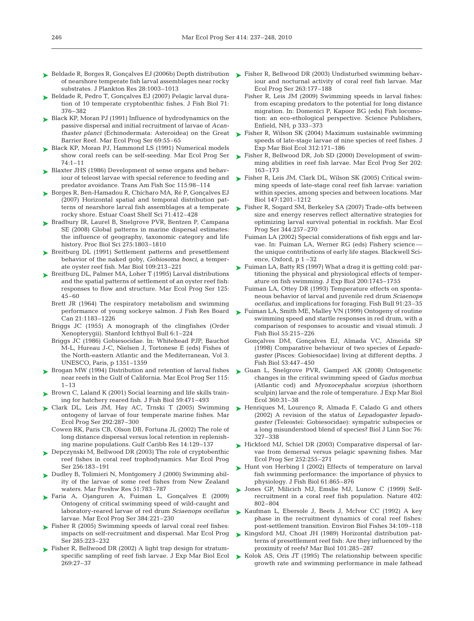- ► Beldade R, Borges R, Gonçalves EJ (2006b) Depth distribution ► Fisher R, Bellwood DR (2003) Undisturbed swimming behavof nearshore temperate fish larval assemblages near rocky substrates. J Plankton Res 28:1003–1013
- ► Beldade R, Pedro T, Gonçalves EJ (2007) Pelagic larval duration of 10 temperate cryptobenthic fishes. J Fish Biol 71: 376–382
- ► Black KP, Moran PJ (1991) Influence of hydrodynamics on the passive dispersal and initial recruitment of larvae of *Acanthaster planci* (Echinodermata: Asteroidea) on the Great Barrier Reef. Mar Ecol Prog Ser 69:55–65
- ► Black KP, Moran PJ, Hammond LS (1991) Numerical models show coral reefs can be self-seeding. Mar Ecol Prog Ser 74:1–11
- ► Blaxter JHS (1986) Development of sense organs and behaviour of teleost larvae with special reference to feeding and predator avoidance. Trans Am Fish Soc 115:98–114
- ► Borges R, Ben-Hamadou R, Chícharo MA, Ré P, Gonçalves EJ (2007) Horizontal spatial and temporal distribution patterns of nearshore larval fish assemblages at a temperate rocky shore. Estuar Coast Shelf Sci 71:412–428
- ► Bradbury IR, Laurel B, Snelgrove PVR, Bentzen P, Campana SE (2008) Global patterns in marine dispersal estimates: the influence of geography, taxonomic category and life history. Proc Biol Sci 275:1803–1810
- ► Breitburg DL (1991) Settlement patterns and presettlement behavior of the naked goby, *Gobiosoma bosci*, a temperate oyster reef fish. Mar Biol 109:213–221
- ▶ Breitburg DL, Palmer MA, Loher T (1995) Larval distributions and the spatial patterns of settlement of an oyster reef fish: responses to flow and structure. Mar Ecol Prog Ser 125: 45–60
	- Brett JR (1964) The respiratory metabolism and swimming performance of young sockeye salmon. J Fish Res Board Can 21:1183–1226
	- Briggs JC (1955) A monograph of the clingfishes (Order Xenopterygii). Stanford Ichthyol Bull 6:1–224
	- Briggs JC (1986) Gobiesocidae. In: Whitehead PJP, Bauchot M-L, Hureau J-C, Nielsen J, Tortonese E (eds) Fishes of the North-eastern Atlantic and the Mediterranean, Vol 3. UNESCO, Paris, p 1351–1359
- ► Brogan MW (1994) Distribution and retention of larval fishes near reefs in the Gulf of California. Mar Ecol Prog Ser 115: 1–13
- ▶ Brown C, Laland K (2001) Social learning and life skills training for hatchery reared fish. J Fish Biol 59:471–493
- ► Clark DL, Leis JM, Hay AC, Trnski T (2005) Swimming ontogeny of larvae of four temperate marine fishes. Mar Ecol Prog Ser 292:287–300
	- Cowen RK, Paris CB, Olson DB, Fortuna JL (2002) The role of long distance dispersal versus local retention in replenishing marine populations. Gulf Caribb Res 14:129–137
- Depczynski M, Bellwood DR (2003) The role of cryptobenthic ➤ reef fishes in coral reef trophodynamics. Mar Ecol Prog Ser 256:183–191
- ► Dudley B, Tolimieri N, Montgomery J (2000) Swimming ability of the larvae of some reef fishes from New Zealand waters. Mar Freshw Res 51:783–787
- Faria A, Ojanguren A, Fuiman L, Gonçalves E (2009) ➤ Ontogeny of critical swimming speed of wild-caught and laboratory-reared larvae of red drum *Sciaenops ocellatus* larvae. Mar Ecol Prog Ser 384:221–230
- ► Fisher R (2005) Swimming speeds of larval coral reef fishes: impacts on self-recruitment and dispersal. Mar Ecol Prog Ser 285:223–232
- ► Fisher R, Bellwood DR (2002) A light trap design for stratumspecific sampling of reef fish larvae. J Exp Mar Biol Ecol 269:27–37
- iour and nocturnal activity of coral reef fish larvae. Mar Ecol Prog Ser 263:177–188
- Fisher R, Leis JM (2009) Swimming speeds in larval fishes: from escaping predators to the potential for long distance migration. In: Domenici P, Kapoor BG (eds) Fish locomotion: an eco-ethological perspective. Science Publishers, Enfield, NH, p 333–373
- ► Fisher R, Wilson SK (2004) Maximum sustainable swimming speeds of late-stage larvae of nine species of reef fishes. J Exp Mar Biol Ecol 312:171–186
- ► Fisher R, Bellwood DR, Job SD (2000) Development of swimming abilities in reef fish larvae. Mar Ecol Prog Ser 202: 163–173
- ► Fisher R, Leis JM, Clark DL, Wilson SK (2005) Critical swimming speeds of late-stage coral reef fish larvae: variation within species, among species and between locations. Mar Biol 147:1201–1212
- ► Fisher R, Sogard SM, Berkeley SA (2007) Trade-offs between size and energy reserves reflect alternative strategies for optimizing larval survival potential in rockfish. Mar Ecol Prog Ser 344:257–270
	- Fuiman LA (2002) Special considerations of fish eggs and larvae. In: Fuiman LA, Werner RG (eds) Fishery science the unique contributions of early life stages. Blackwell Science, Oxford, p 1 –32
- Fuiman LA, Batty RS (1997) What a drag it is getting cold: par-➤ titioning the physical and physiological effects of temperature on fish swimming. J Exp Biol 200:1745–1755
	- Fuiman LA, Ottey DR (1993) Temperature effects on spontaneous behavior of larval and juvenile red drum *Sciaenops ocellatus*, and implications for foraging. Fish Bull 91:23–35
- ► Fuiman LA, Smith ME, Malley VN (1999) Ontogeny of routine swimming speed and startle responses in red drum, with a comparison of responses to acoustic and visual stimuli. J Fish Biol 55:215–226
	- Gonçalves DM, Gonçalves EJ, Almada VC, Almeida SP (1998) Comparative behaviour of two species of *Lepadogaster* (Pisces: Gobiesocidae) living at different depths. J Fish Biol 53:447–450
- ► Guan L, Snelgrove PVR, Gamperl AK (2008) Ontogenetic changes in the critical swimming speed of *Gadus morhua* (Atlantic cod) and *Myoxocephalus scorpius* (shorthorn sculpin) larvae and the role of temperature. J Exp Mar Biol Ecol 360:31–38
- ► Henriques M, Lourenço R, Almada F, Calado G and others (2002) A revision of the status of *Lepadogaster lepadogaster* (Teleostei: Gobiesocidae): sympatric subspecies or a long misunderstood blend of species? Biol J Linn Soc 76: 327–338
- ► Hickford MJ, Schiel DR (2003) Comparative dispersal of larvae from demersal versus pelagic spawning fishes. Mar Ecol Prog Ser 252:255–271
- ► Hunt von Herbing I (2002) Effects of temperature on larval fish swimming performance: the importance of physics to physiology. J Fish Biol 61:865–876
- ▶ Jones GP, Milicich MJ, Emslie MJ, Lunow C (1999) Selfrecruitment in a coral reef fish population. Nature 402: 802–804
- ► Kaufman L, Ebersole J, Beets J, McIvor CC (1992) A key phase in the recruitment dynamics of coral reef fishes: post-settlement transition. Environ Biol Fishes 34:109–118
- ▶ Kingsford MJ, Choat JH (1989) Horizontal distribution patterns of presettlement reef fish: Are they influenced by the proximity of reefs? Mar Biol 101:285–287
- ► Kolok AS, Oris JT (1995) The relationship between specific growth rate and swimming performance in male fathead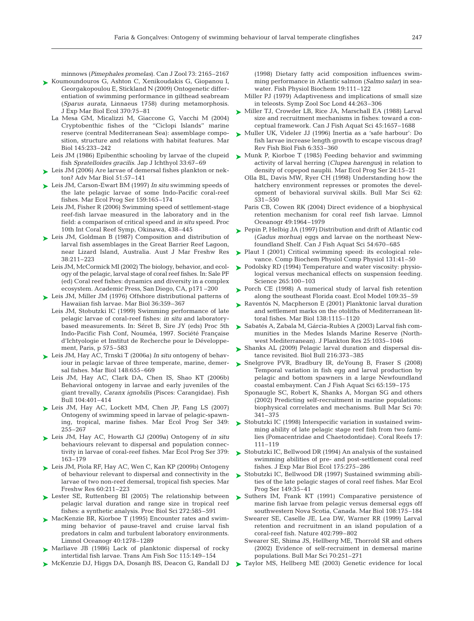minnows (*Pimephales promelas*). Can J Zool 73: 2165–2167

- ► Koumoundouros G, Ashton C, Xenikoudakis G, Giopanou I, Georgakopoulou E, Stickland N (2009) Ontogenetic differentiation of swimming performance in gilthead seabream (*Sparus aurata*, Linnaeus 1758) during metamorphosis. J Exp Mar Biol Ecol 370:75–81
	- La Mesa GM, Micalizzi M, Giaccone G, Vacchi M (2004) Cryptobenthic fishes of the ''Ciclopi Islands'' marine reserve (central Mediterranean Sea): assemblage composition, structure and relations with habitat features. Mar Biol 145:233–242
	- fish *Spratelloides gracilis*. Jap J Ichthyol 33:67–69
- ► Leis JM (2006) Are larvae of demersal fishes plankton or nekton? Adv Mar Biol 51:57–141
- ► Leis JM, Carson-Ewart BM (1997) *In situ* swimming speeds of the late pelagic larvae of some Indo-Pacific coral-reef fishes. Mar Ecol Prog Ser 159:165–174
	- Leis JM, Fisher R (2006) Swimming speed of settlement-stage reef-fish larvae measured in the laboratory and in the field: a comparison of critical speed and *in situ* speed. Proc 10th Int Coral Reef Symp, Okinawa, 438–445
- ► Leis JM, Goldman B (1987) Composition and distribution of larval fish assemblages in the Great Barrier Reef Lagoon, near Lizard Island, Australia. Aust J Mar Freshw Res 38:211–223
	- Leis JM, McCormick MI (2002) The biology, behavior, and ecology of the pelagic, larval stage of coral reef fishes. In: Sale PF (ed) Coral reef fishes: dynamics and diversity in a complex ecosystem. Academic Press, San Diego, CA, p171 –200
- ► Leis JM, Miller JM (1976) Offshore distributional patterns of Hawaiian fish larvae. Mar Biol 36:359–367
	- Leis JM, Stobutzki IC (1999) Swimming performance of late pelagic larvae of coral-reef fishes: *in situ* and laboratorybased measurements. In: Séret B, Sire JY (eds) Proc 5th Indo-Pacific Fish Conf, Nouméa, 1997. Société Française d'Ichtyologie et Institut de Recherche pour le Développement, Paris, p 575–583
- Leis JM, Hay AC, Trnski T (2006a) *In situ* ontogeny of behav-➤ iour in pelagic larvae of three temperate, marine, demersal fishes. Mar Biol 148:655–669
	- Leis JM, Hay AC, Clark DA, Chen IS, Shao KT (2006b) Behavioral ontogeny in larvae and early juveniles of the giant trevally, *Caranx ignobilis* (Pisces: Carangidae). Fish Bull 104:401–414
- ► Leis JM, Hay AC, Lockett MM, Chen JP, Fang LS (2007) Ontogeny of swimming speed in larvae of pelagic-spawning, tropical, marine fishes. Mar Ecol Prog Ser 349: 255–267
- Leis JM, Hay AC, Howarth GJ (2009a) Ontogeny of *in situ* ➤ behaviours relevant to dispersal and population connectivity in larvae of coral-reef fishes. Mar Ecol Prog Ser 379: 163–179
- Leis JM, Piola RF, Hay AC, Wen C, Kan KP (2009b) Ontogeny ➤ of behaviour relevant to dispersal and connectivity in the larvae of two non-reef demersal, tropical fish species. Mar Freshw Res 60:211–223
- ► Lester SE, Ruttenberg BI (2005) The relationship between pelagic larval duration and range size in tropical reef fishes: a synthetic analysis. Proc Biol Sci 272:585–591
- ► MacKenzie BR, Kiorboe T (1995) Encounter rates and swimming behavior of pause-travel and cruise larval fish predators in calm and turbulent laboratory environments. Limnol Oceanogr 40:1278–1289
- ▶ Marliave JB (1986) Lack of planktonic dispersal of rocky intertidal fish larvae. Trans Am Fish Soc 115:149–154
- McKenzie DJ, Higgs DA, Dosanjh BS, Deacon G, Randall DJ ➤

(1998) Dietary fatty acid composition influences swimming performance in Atlantic salmon (*Salmo salar*) in seawater. Fish Physiol Biochem 19:111–122

- Miller PJ (1979) Adaptiveness and implications of small size in teleosts. Symp Zool Soc Lond 44:263–306
- ► Miller TJ, Crowder LB, Rice JA, Marschall EA (1988) Larval size and recruitment mechanisms in fishes: toward a conceptual framework. Can J Fish Aquat Sci 45:1657–1688
- ► Muller UK, Videler JJ (1996) Inertia as a 'safe harbour': Do fish larvae increase length growth to escape viscous drag? Rev Fish Biol Fish 6:353–360
- Leis JM (1986) Epibenthic schooling by larvae of the clupeid  $\triangleright$  Munk P, Kiorboe T (1985) Feeding behavior and swimming activity of larval herring (*Clupea harengus*) in relation to density of copepod nauplii. Mar Ecol Prog Ser 24:15–21
	- Olla BL, Davis MW, Ryer CH (1998) Understanding how the hatchery environment represses or promotes the development of behavioral survival skills. Bull Mar Sci 62: 531–550
	- Paris CB, Cowen RK (2004) Direct evidence of a biophysical retention mechanism for coral reef fish larvae. Limnol Oceanogr 49:1964–1979
	- ► Pepin P, Helbig JA (1997) Distribution and drift of Atlantic cod (*Gadus morhua*) eggs and larvae on the northeast Newfoundland Shelf. Can J Fish Aquat Sci 54:670–685
	- ► Plaut I (2001) Critical swimming speed: its ecological relevance. Comp Biochem Physiol Comp Physiol 131:41–50
	- ► Podolsky RD (1994) Temperature and water viscosity: physiological versus mechanical effects on suspension feeding. Science 265:100–103
	- ▶ Porch CE (1998) A numerical study of larval fish retention along the southeast Florida coast. Ecol Model 109:35–59
	- ► Raventós N, Macpherson E (2001) Planktonic larval duration and settlement marks on the otoliths of Mediterranean littoral fishes. Mar Biol 138:1115–1120
	- ► Sabatés A, Zabala M, Gárcia-Rubies A (2003) Larval fish communities in the Medes Islands Marine Reserve (Northwest Mediterranean). J Plankton Res 25:1035–1046
	- ▶ Shanks AL (2009) Pelagic larval duration and dispersal distance revisited. Biol Bull 216:373–385
	- ▶ Snelgrove PVR, Bradbury IR, deYoung B, Fraser S (2008) Temporal variation in fish egg and larval production by pelagic and bottom spawners in a large Newfoundland coastal embayment. Can J Fish Aquat Sci 65:159–175
		- Sponaugle SC, Robert K, Shanks A, Morgan SG and others (2002) Predicting self-recruitment in marine populations: biophysical correlates and mechanisms. Bull Mar Sci 70: 341–375
	- ► Stobutzki IC (1998) Interspecific variation in sustained swimming ability of late pelagic stage reef fish from two families (Pomacentridae and Chaetodontidae). Coral Reefs 17: 111–119
	- Stobutzki IC, Bellwood DR (1994) An analysis of the sustained ➤ swimming abilities of pre- and post-settlement coral reef fishes. J Exp Mar Biol Ecol 175:275–286
	- ► Stobutzki IC, Bellwood DR (1997) Sustained swimming abilities of the late pelagic stages of coral reef fishes. Mar Ecol Prog Ser 149:35–41
	- ▶ Suthers IM, Frank KT (1991) Comparative persistence of marine fish larvae from pelagic versus demersal eggs off southwestern Nova Scotia, Canada. Mar Biol 108:175–184
		- Swearer SE, Caselle JE, Lea DW, Warner RR (1999) Larval retention and recruitment in an island population of a coral-reef fish. Nature 402:799–802
		- Swearer SE, Shima JS, Hellberg ME, Thorrold SR and others (2002) Evidence of self-recruiment in demersal marine populations. Bull Mar Sci 70:251–271
	- ▶ Taylor MS, Hellberg ME (2003) Genetic evidence for local